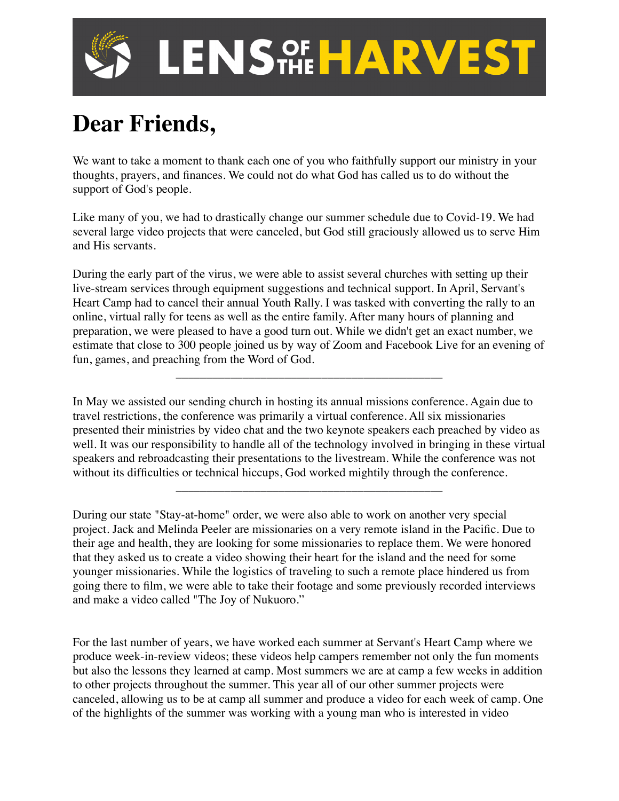

## **Dear Friends,**

We want to take a moment to thank each one of you who faithfully support our ministry in your thoughts, prayers, and finances. We could not do what God has called us to do without the support of God's people.

Like many of you, we had to drastically change our summer schedule due to Covid-19. We had several large video projects that were canceled, but God still graciously allowed us to serve Him and His servants.

During the early part of the virus, we were able to assist several churches with setting up their live-stream services through equipment suggestions and technical support. In April, Servant's Heart Camp had to cancel their annual Youth Rally. I was tasked with converting the rally to an online, virtual rally for teens as well as the entire family. After many hours of planning and preparation, we were pleased to have a good turn out. While we didn't get an exact number, we estimate that close to 300 people joined us by way of Zoom and Facebook Live for an evening of fun, games, and preaching from the Word of God.

\_\_\_\_\_\_\_\_\_\_\_\_\_\_\_\_\_\_\_\_\_\_\_\_\_\_\_\_\_\_\_\_\_\_\_\_\_\_\_\_\_\_\_\_

In May we assisted our sending church in hosting its annual missions conference. Again due to travel restrictions, the conference was primarily a virtual conference. All six missionaries presented their ministries by video chat and the two keynote speakers each preached by video as well. It was our responsibility to handle all of the technology involved in bringing in these virtual speakers and rebroadcasting their presentations to the livestream. While the conference was not without its difficulties or technical hiccups, God worked mightily through the conference.

\_\_\_\_\_\_\_\_\_\_\_\_\_\_\_\_\_\_\_\_\_\_\_\_\_\_\_\_\_\_\_\_\_\_\_\_\_\_\_\_\_\_\_\_

During our state "Stay-at-home" order, we were also able to work on another very special project. Jack and Melinda Peeler are missionaries on a very remote island in the Pacific. Due to their age and health, they are looking for some missionaries to replace them. We were honored that they asked us to create a video showing their heart for the island and the need for some younger missionaries. While the logistics of traveling to such a remote place hindered us from going there to film, we were able to take their footage and some previously recorded interviews and make a video called "The Joy of Nukuoro."

For the last number of years, we have worked each summer at Servant's Heart Camp where we produce week-in-review videos; these videos help campers remember not only the fun moments but also the lessons they learned at camp. Most summers we are at camp a few weeks in addition to other projects throughout the summer. This year all of our other summer projects were canceled, allowing us to be at camp all summer and produce a video for each week of camp. One of the highlights of the summer was working with a young man who is interested in video